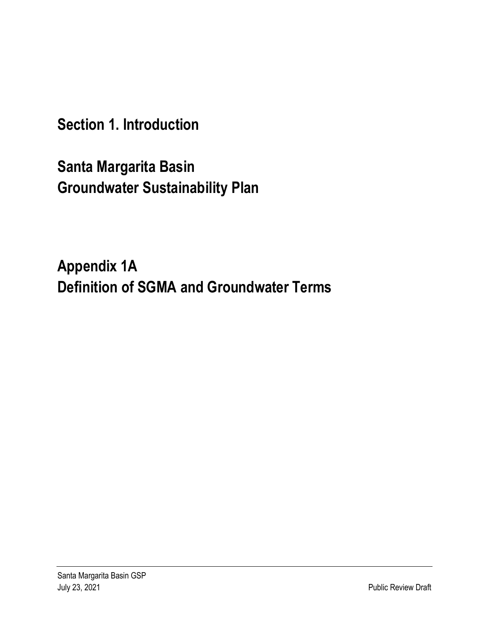**Section 1. Introduction**

**Santa Margarita Basin Groundwater Sustainability Plan** 

**Appendix 1A Definition of SGMA and Groundwater Terms**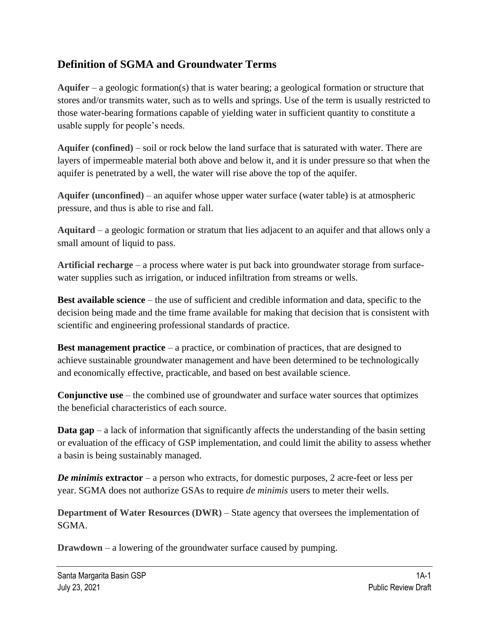## **Definition of SGMA and Groundwater Terms**

**Aquifer** – a geologic formation(s) that is water bearing; a geological formation or structure that stores and/or transmits water, such as to wells and springs. Use of the term is usually restricted to those water-bearing formations capable of yielding water in sufficient quantity to constitute a usable supply for people's needs.

**Aquifer (confined)** – soil or rock below the land surface that is saturated with water. There are layers of impermeable material both above and below it, and it is under pressure so that when the aquifer is penetrated by a well, the water will rise above the top of the aquifer.

**Aquifer (unconfined)** – an aquifer whose upper water surface (water table) is at atmospheric pressure, and thus is able to rise and fall.

**Aquitard** – a geologic formation or stratum that lies adjacent to an aquifer and that allows only a small amount of liquid to pass.

**Artificial recharge** – a process where water is put back into groundwater storage from surfacewater supplies such as irrigation, or induced infiltration from streams or wells.

**Best available science** – the use of sufficient and credible information and data, specific to the decision being made and the time frame available for making that decision that is consistent with scientific and engineering professional standards of practice.

**Best management practice** – a practice, or combination of practices, that are designed to achieve sustainable groundwater management and have been determined to be technologically and economically effective, practicable, and based on best available science.

**Conjunctive use** – the combined use of groundwater and surface water sources that optimizes the beneficial characteristics of each source.

**Data gap** – a lack of information that significantly affects the understanding of the basin setting or evaluation of the efficacy of GSP implementation, and could limit the ability to assess whether a basin is being sustainably managed.

*De minimis* **extractor** – a person who extracts, for domestic purposes, 2 acre-feet or less per year. SGMA does not authorize GSAs to require *de minimis* users to meter their wells.

**Department of Water Resources (DWR)** – State agency that oversees the implementation of SGMA.

**Drawdown** – a lowering of the groundwater surface caused by pumping.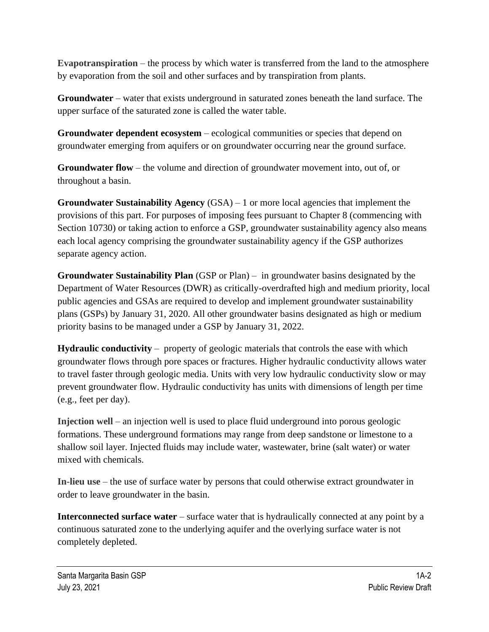**Evapotranspiration** – the process by which water is transferred from the land to the atmosphere by evaporation from the soil and other surfaces and by transpiration from plants.

**Groundwater** – water that exists underground in saturated zones beneath the land surface. The upper surface of the saturated zone is called the water table.

**Groundwater dependent ecosystem** – ecological communities or species that depend on groundwater emerging from aquifers or on groundwater occurring near the ground surface.

**Groundwater flow** – the volume and direction of groundwater movement into, out of, or throughout a basin.

**Groundwater Sustainability Agency** (GSA) – 1 or more local agencies that implement the provisions of this part. For purposes of imposing fees pursuant to Chapter 8 (commencing with Section 10730) or taking action to enforce a GSP, groundwater sustainability agency also means each local agency comprising the groundwater sustainability agency if the GSP authorizes separate agency action.

**Groundwater Sustainability Plan** (GSP or Plan) – in groundwater basins designated by the Department of Water Resources (DWR) as critically-overdrafted high and medium priority, local public agencies and GSAs are required to develop and implement groundwater sustainability plans (GSPs) by January 31, 2020. All other groundwater basins designated as high or medium priority basins to be managed under a GSP by January 31, 2022.

**Hydraulic conductivity** – property of geologic materials that controls the ease with which groundwater flows through pore spaces or fractures. Higher hydraulic conductivity allows water to travel faster through geologic media. Units with very low hydraulic conductivity slow or may prevent groundwater flow. Hydraulic conductivity has units with dimensions of length per time (e.g., feet per day).

**Injection well** – an injection well is used to place fluid underground into porous geologic formations. These underground formations may range from deep sandstone or limestone to a shallow soil layer. Injected fluids may include water, wastewater, brine (salt water) or water mixed with chemicals.

**In-lieu use** – the use of surface water by persons that could otherwise extract groundwater in order to leave groundwater in the basin.

**Interconnected surface water** – surface water that is hydraulically connected at any point by a continuous saturated zone to the underlying aquifer and the overlying surface water is not completely depleted.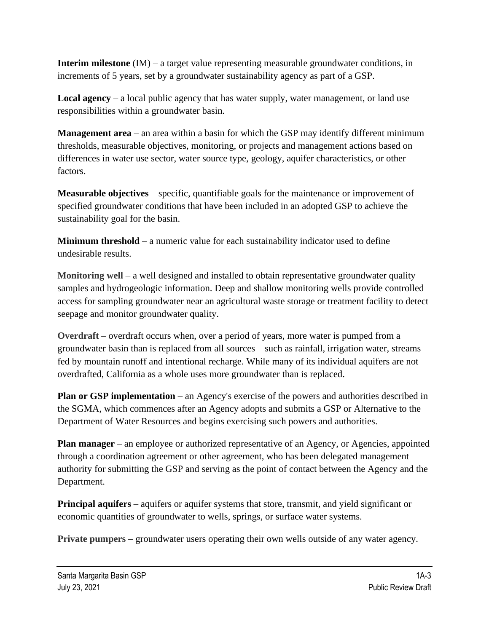**Interim milestone** (IM) – a target value representing measurable groundwater conditions, in increments of 5 years, set by a groundwater sustainability agency as part of a GSP.

**Local agency** – a local public agency that has water supply, water management, or land use responsibilities within a groundwater basin.

**Management area** – an area within a basin for which the GSP may identify different minimum thresholds, measurable objectives, monitoring, or projects and management actions based on differences in water use sector, water source type, geology, aquifer characteristics, or other factors.

**Measurable objectives** – specific, quantifiable goals for the maintenance or improvement of specified groundwater conditions that have been included in an adopted GSP to achieve the sustainability goal for the basin.

**Minimum threshold** – a numeric value for each sustainability indicator used to define undesirable results.

**Monitoring well** – a well designed and installed to obtain representative groundwater quality samples and hydrogeologic information. Deep and shallow monitoring wells provide controlled access for sampling groundwater near an agricultural waste storage or treatment facility to detect seepage and monitor groundwater quality.

**Overdraft** – overdraft occurs when, over a period of years, more water is pumped from a groundwater basin than is replaced from all sources – such as rainfall, irrigation water, streams fed by mountain runoff and intentional recharge. While many of its individual aquifers are not overdrafted, California as a whole uses more groundwater than is replaced.

**Plan or GSP implementation** – an Agency's exercise of the powers and authorities described in the SGMA, which commences after an Agency adopts and submits a GSP or Alternative to the Department of Water Resources and begins exercising such powers and authorities.

**Plan manager** – an employee or authorized representative of an Agency, or Agencies, appointed through a coordination agreement or other agreement, who has been delegated management authority for submitting the GSP and serving as the point of contact between the Agency and the Department.

**Principal aquifers** – aquifers or aquifer systems that store, transmit, and yield significant or economic quantities of groundwater to wells, springs, or surface water systems.

**Private pumpers** – groundwater users operating their own wells outside of any water agency.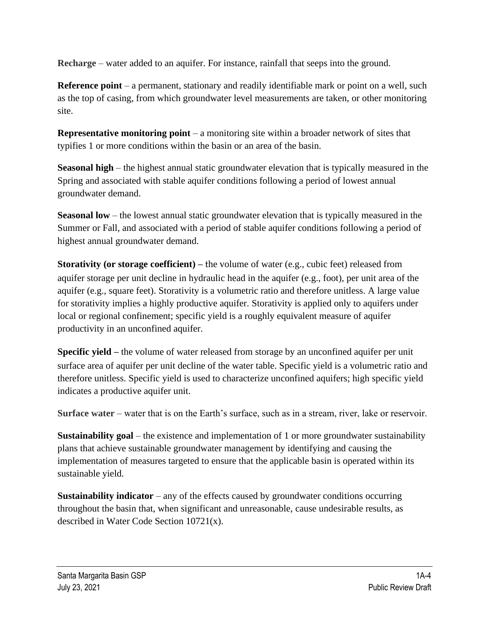**Recharge** – water added to an aquifer. For instance, rainfall that seeps into the ground.

**Reference point** – a permanent, stationary and readily identifiable mark or point on a well, such as the top of casing, from which groundwater level measurements are taken, or other monitoring site.

**Representative monitoring point** – a monitoring site within a broader network of sites that typifies 1 or more conditions within the basin or an area of the basin.

**Seasonal high** – the highest annual static groundwater elevation that is typically measured in the Spring and associated with stable aquifer conditions following a period of lowest annual groundwater demand.

**Seasonal low** – the lowest annual static groundwater elevation that is typically measured in the Summer or Fall, and associated with a period of stable aquifer conditions following a period of highest annual groundwater demand.

**Storativity (or storage coefficient)** – the volume of water (e.g., cubic feet) released from aquifer storage per unit decline in hydraulic head in the aquifer (e.g., foot), per unit area of the aquifer (e.g., square feet). Storativity is a volumetric ratio and therefore unitless. A large value for storativity implies a highly productive aquifer. Storativity is applied only to aquifers under local or regional confinement; specific yield is a roughly equivalent measure of aquifer productivity in an unconfined aquifer.

**Specific yield** – the volume of water released from storage by an unconfined aquifer per unit surface area of aquifer per unit decline of the water table. Specific yield is a volumetric ratio and therefore unitless. Specific yield is used to characterize unconfined aquifers; high specific yield indicates a productive aquifer unit.

**Surface water** – water that is on the Earth's surface, such as in a stream, river, lake or reservoir.

**Sustainability goal** – the existence and implementation of 1 or more groundwater sustainability plans that achieve sustainable groundwater management by identifying and causing the implementation of measures targeted to ensure that the applicable basin is operated within its sustainable yield.

**Sustainability indicator** – any of the effects caused by groundwater conditions occurring throughout the basin that, when significant and unreasonable, cause undesirable results, as described in Water Code Section 10721(x).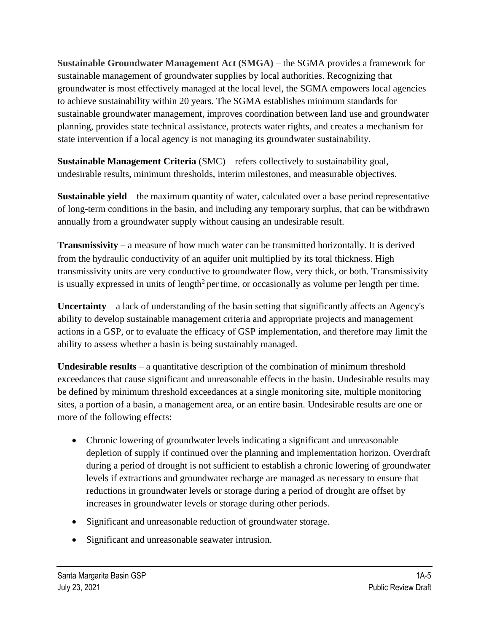**Sustainable Groundwater Management Act (SMGA)** – the SGMA provides a framework for sustainable management of groundwater supplies by local authorities. Recognizing that groundwater is most effectively managed at the local level, the SGMA empowers local agencies to achieve sustainability within 20 years. The SGMA establishes minimum standards for sustainable groundwater management, improves coordination between land use and groundwater planning, provides state technical assistance, protects water rights, and creates a mechanism for state intervention if a local agency is not managing its groundwater sustainability.

**Sustainable Management Criteria** (SMC) – refers collectively to sustainability goal, undesirable results, minimum thresholds, interim milestones, and measurable objectives.

**Sustainable yield** – the maximum quantity of water, calculated over a base period representative of long-term conditions in the basin, and including any temporary surplus, that can be withdrawn annually from a groundwater supply without causing an undesirable result.

**Transmissivity** – a measure of how much water can be transmitted horizontally. It is derived from the hydraulic conductivity of an aquifer unit multiplied by its total thickness. High transmissivity units are very conductive to groundwater flow, very thick, or both. Transmissivity is usually expressed in units of length<sup>2</sup> per time, or occasionally as volume per length per time.

**Uncertainty** – a lack of understanding of the basin setting that significantly affects an Agency's ability to develop sustainable management criteria and appropriate projects and management actions in a GSP, or to evaluate the efficacy of GSP implementation, and therefore may limit the ability to assess whether a basin is being sustainably managed.

**Undesirable results** – a quantitative description of the combination of minimum threshold exceedances that cause significant and unreasonable effects in the basin. Undesirable results may be defined by minimum threshold exceedances at a single monitoring site, multiple monitoring sites, a portion of a basin, a management area, or an entire basin. Undesirable results are one or more of the following effects:

- Chronic lowering of groundwater levels indicating a significant and unreasonable depletion of supply if continued over the planning and implementation horizon. Overdraft during a period of drought is not sufficient to establish a chronic lowering of groundwater levels if extractions and groundwater recharge are managed as necessary to ensure that reductions in groundwater levels or storage during a period of drought are offset by increases in groundwater levels or storage during other periods.
- Significant and unreasonable reduction of groundwater storage.
- Significant and unreasonable seawater intrusion.